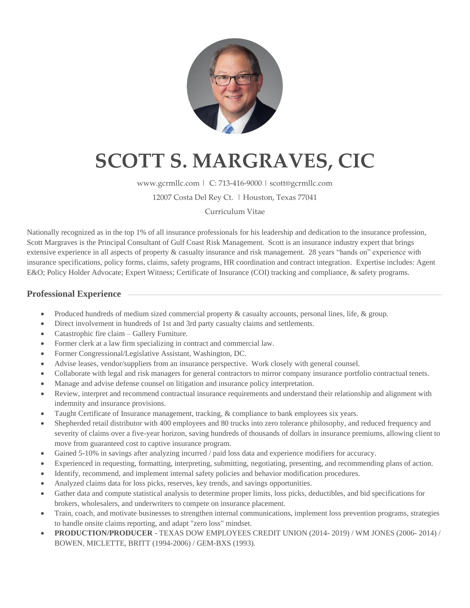

# **SCOTT S. MARGRAVES, CIC**

www.gcrmllc.com | C: 713-416-9000 | scott@gcrmllc.com

12007 Costa Del Rey Ct. | Houston, Texas 77041

### Curriculum Vitae

Nationally recognized as in the top 1% of all insurance professionals for his leadership and dedication to the insurance profession, Scott Margraves is the Principal Consultant of Gulf Coast Risk Management. Scott is an insurance industry expert that brings extensive experience in all aspects of property & casualty insurance and risk management. 28 years "hands on" experience with insurance specifications, policy forms, claims, safety programs, HR coordination and contract integration. Expertise includes: Agent E&O; Policy Holder Advocate; Expert Witness; Certificate of Insurance (COI) tracking and compliance, & safety programs.

# **Professional Experience**

- Produced hundreds of medium sized commercial property & casualty accounts, personal lines, life, & group.
- Direct involvement in hundreds of 1st and 3rd party casualty claims and settlements.
- Catastrophic fire claim Gallery Furniture.
- Former clerk at a law firm specializing in contract and commercial law.
- Former Congressional/Legislative Assistant, Washington, DC.
- Advise leases, vendor/suppliers from an insurance perspective. Work closely with general counsel.
- Collaborate with legal and risk managers for general contractors to mirror company insurance portfolio contractual tenets.
- Manage and advise defense counsel on litigation and insurance policy interpretation.
- Review, interpret and recommend contractual insurance requirements and understand their relationship and alignment with indemnity and insurance provisions.
- Taught Certificate of Insurance management, tracking, & compliance to bank employees six years.
- Shepherded retail distributor with 400 employees and 80 trucks into zero tolerance philosophy, and reduced frequency and severity of claims over a five-year horizon, saving hundreds of thousands of dollars in insurance premiums, allowing client to move from guaranteed cost to captive insurance program.
- Gained 5-10% in savings after analyzing incurred / paid loss data and experience modifiers for accuracy.
- Experienced in requesting, formatting, interpreting, submitting, negotiating, presenting, and recommending plans of action.
- Identify, recommend, and implement internal safety policies and behavior modification procedures.
- Analyzed claims data for loss picks, reserves, key trends, and savings opportunities.
- Gather data and compute statistical analysis to determine proper limits, loss picks, deductibles, and bid specifications for brokers, wholesalers, and underwriters to compete on insurance placement.
- Train, coach, and motivate businesses to strengthen internal communications, implement loss prevention programs, strategies to handle onsite claims reporting, and adapt "zero loss" mindset.
- **PRODUCTION/PRODUCER** TEXAS DOW EMPLOYEES CREDIT UNION (2014- 2019) / WM JONES (2006- 2014) / BOWEN, MICLETTE, BRITT (1994-2006) / GEM-BXS (1993).